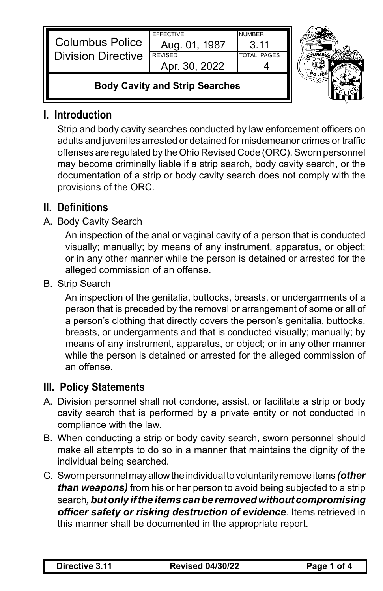| <b>Columbus Police</b><br><b>Division Directive</b> | <b>FFFFCTIVE</b><br>Aug. 01, 1987<br><b>REVISED</b><br>Apr. 30, 2022 | <b>NUMBER</b><br>.3 11<br><b>TOTAL PAGES</b> |  |
|-----------------------------------------------------|----------------------------------------------------------------------|----------------------------------------------|--|
| <b>Body Cavity and Strip Searches</b>               |                                                                      |                                              |  |

## **I. Introduction**

 Strip and body cavity searches conducted by law enforcement officers on adults and juveniles arrested or detained for misdemeanor crimes or traffic offenses are regulated by the Ohio Revised Code (ORC). Sworn personnel may become criminally liable if a strip search, body cavity search, or the documentation of a strip or body cavity search does not comply with the provisions of the ORC.

# **II. Definitions**

### A. Body Cavity Search

An inspection of the anal or vaginal cavity of a person that is conducted visually; manually; by means of any instrument, apparatus, or object; or in any other manner while the person is detained or arrested for the alleged commission of an offense.

B. Strip Search

An inspection of the genitalia, buttocks, breasts, or undergarments of a person that is preceded by the removal or arrangement of some or all of a person's clothing that directly covers the person's genitalia, buttocks, breasts, or undergarments and that is conducted visually; manually; by means of any instrument, apparatus, or object; or in any other manner while the person is detained or arrested for the alleged commission of an offense.

## **III. Policy Statements**

- A. Division personnel shall not condone, assist, or facilitate a strip or body cavity search that is performed by a private entity or not conducted in compliance with the law.
- B. When conducting a strip or body cavity search, sworn personnel should make all attempts to do so in a manner that maintains the dignity of the individual being searched.
- C. Sworn personnel may allow the individual to voluntarily remove items *(other than weapons)* from his or her person to avoid being subjected to a strip search*, but only if the items can be removed without compromising officer safety or risking destruction of evidence*. Items retrieved in this manner shall be documented in the appropriate report.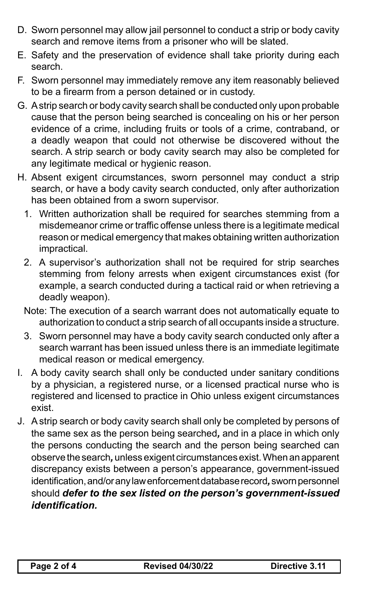- D. Sworn personnel may allow jail personnel to conduct a strip or body cavity search and remove items from a prisoner who will be slated.
- E. Safety and the preservation of evidence shall take priority during each search.
- F. Sworn personnel may immediately remove any item reasonably believed to be a firearm from a person detained or in custody.
- G. A strip search or body cavity search shall be conducted only upon probable cause that the person being searched is concealing on his or her person evidence of a crime, including fruits or tools of a crime, contraband, or a deadly weapon that could not otherwise be discovered without the search. A strip search or body cavity search may also be completed for any legitimate medical or hygienic reason.
- H. Absent exigent circumstances, sworn personnel may conduct a strip search, or have a body cavity search conducted, only after authorization has been obtained from a sworn supervisor.
	- 1. Written authorization shall be required for searches stemming from a misdemeanor crime or traffic offense unless there is a legitimate medical reason or medical emergency that makes obtaining written authorization impractical.
	- 2. A supervisor's authorization shall not be required for strip searches stemming from felony arrests when exigent circumstances exist (for example, a search conducted during a tactical raid or when retrieving a deadly weapon).

Note: The execution of a search warrant does not automatically equate to authorization to conduct a strip search of all occupants inside a structure.

- 3. Sworn personnel may have a body cavity search conducted only after a search warrant has been issued unless there is an immediate legitimate medical reason or medical emergency.
- I. A body cavity search shall only be conducted under sanitary conditions by a physician, a registered nurse, or a licensed practical nurse who is registered and licensed to practice in Ohio unless exigent circumstances exist.
- J. A strip search or body cavity search shall only be completed by persons of the same sex as the person being searched*,* and in a place in which only the persons conducting the search and the person being searched can observe the search*,* unless exigent circumstances exist. When an apparent discrepancy exists between a person's appearance, government-issued identification,and/oranylawenforcementdatabaserecord*,* sworn personnel should *defer to the sex listed on the person's government-issued identification.*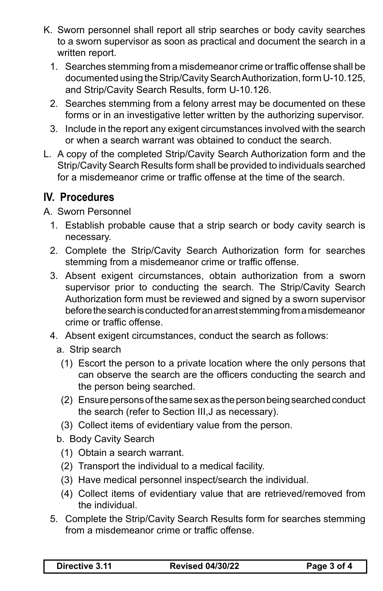- K. Sworn personnel shall report all strip searches or body cavity searches to a sworn supervisor as soon as practical and document the search in a written report.
	- 1. Searches stemming from a misdemeanor crime or traffic offense shall be documented using the Strip/Cavity Search Authorization, form U-10.125, and Strip/Cavity Search Results, form U-10.126.
	- 2. Searches stemming from a felony arrest may be documented on these forms or in an investigative letter written by the authorizing supervisor.
	- 3. Include in the report any exigent circumstances involved with the search or when a search warrant was obtained to conduct the search.
- L. A copy of the completed Strip/Cavity Search Authorization form and the Strip/Cavity Search Results form shall be provided to individuals searched for a misdemeanor crime or traffic offense at the time of the search.

## **IV. Procedures**

A. Sworn Personnel

- 1. Establish probable cause that a strip search or body cavity search is necessary.
- 2. Complete the Strip/Cavity Search Authorization form for searches stemming from a misdemeanor crime or traffic offense.
- 3. Absent exigent circumstances, obtain authorization from a sworn supervisor prior to conducting the search. The Strip/Cavity Search Authorization form must be reviewed and signed by a sworn supervisor before the search is conducted for an arrest stemming from a misdemeanor crime or traffic offense.
- 4. Absent exigent circumstances, conduct the search as follows:
	- a. Strip search
	- (1) Escort the person to a private location where the only persons that can observe the search are the officers conducting the search and the person being searched.
	- (2) Ensure persons of the same sex as the person being searched conduct the search (refer to Section III,J as necessary).
	- (3) Collect items of evidentiary value from the person.
	- b. Body Cavity Search
		- (1) Obtain a search warrant.
		- (2) Transport the individual to a medical facility.
		- (3) Have medical personnel inspect/search the individual.
		- (4) Collect items of evidentiary value that are retrieved/removed from the individual.
- 5. Complete the Strip/Cavity Search Results form for searches stemming from a misdemeanor crime or traffic offense.